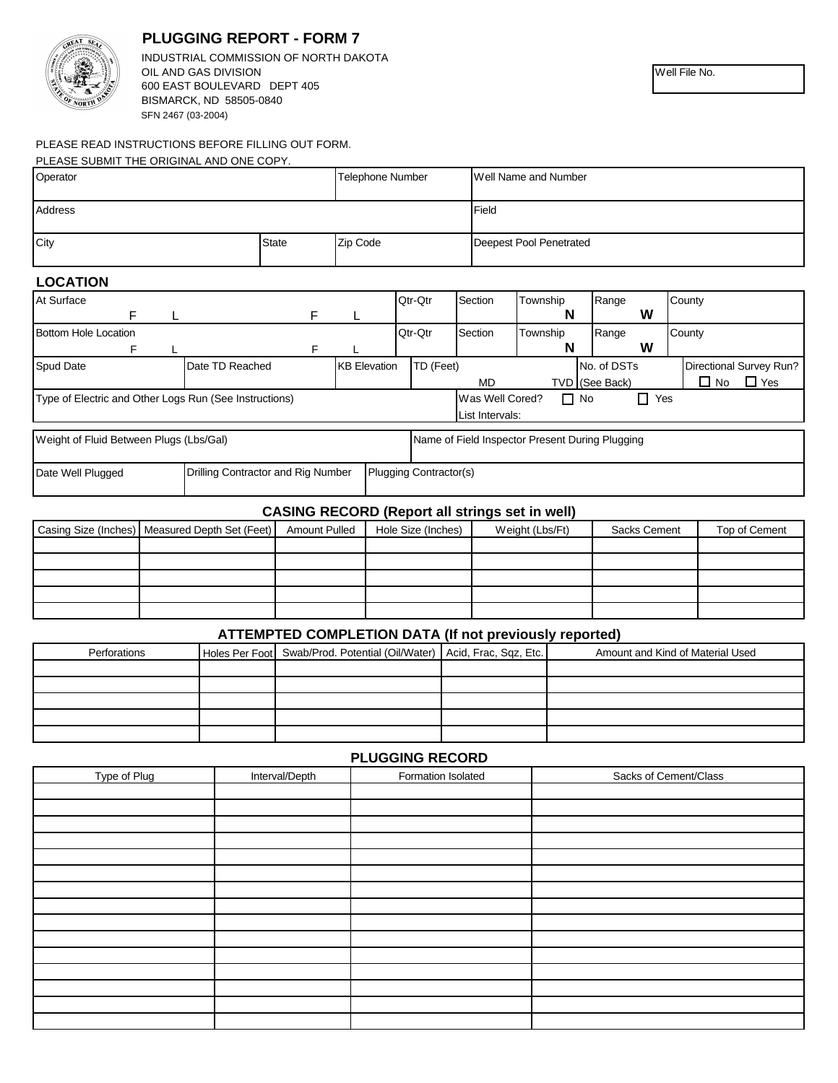

# **PLUGGING REPORT - FORM 7**

BISMARCK, ND 58505-0840 SFN 2467 (03-2004) INDUSTRIAL COMMISSION OF NORTH DAKOTA OIL AND GAS DIVISION 600 EAST BOULEVARD DEPT 405

## PLEASE READ INSTRUCTIONS BEFORE FILLING OUT FORM.

| PLEASE SUBMIT THE ORIGINAL AND ONE COPY. |              |                         |                         |
|------------------------------------------|--------------|-------------------------|-------------------------|
| Operator                                 |              | <b>Telephone Number</b> | Well Name and Number    |
| Address                                  |              |                         | Field                   |
| City                                     | <b>State</b> | Zip Code                | Deepest Pool Penetrated |

## **LOCATION**

| At Surface                                                                                 |                                    |   |                     | Qtr-Qtr                       | Section                                   | Township | Range          |  | County                     |
|--------------------------------------------------------------------------------------------|------------------------------------|---|---------------------|-------------------------------|-------------------------------------------|----------|----------------|--|----------------------------|
| F                                                                                          |                                    | F |                     |                               |                                           | N        | w              |  |                            |
| Bottom Hole Location                                                                       |                                    |   |                     | Qtr-Qtr                       | Section                                   | Township | Range          |  | County                     |
|                                                                                            |                                    |   |                     |                               |                                           | N        | W              |  |                            |
| <b>Spud Date</b>                                                                           | Date TD Reached                    |   | <b>KB</b> Elevation | TD (Feet)                     |                                           |          | No. of DSTs    |  | Directional Survey Run?    |
|                                                                                            |                                    |   |                     |                               | MD                                        |          | TVD (See Back) |  | $\Box$ Yes<br>$\square$ No |
| Type of Electric and Other Logs Run (See Instructions)                                     |                                    |   |                     |                               | П.<br>Was Well Cored?<br>Yes<br>$\Box$ No |          |                |  |                            |
|                                                                                            |                                    |   |                     |                               | List Intervals:                           |          |                |  |                            |
| Weight of Fluid Between Plugs (Lbs/Gal)<br>Name of Field Inspector Present During Plugging |                                    |   |                     |                               |                                           |          |                |  |                            |
| Date Well Plugged                                                                          | Drilling Contractor and Rig Number |   |                     | <b>Plugging Contractor(s)</b> |                                           |          |                |  |                            |

## **CASING RECORD (Report all strings set in well)**

| Casing Size (Inches) Measured Depth Set (Feet) | <b>Amount Pulled</b> | Hole Size (Inches) | Weight (Lbs/Ft) | Sacks Cement | Top of Cement |
|------------------------------------------------|----------------------|--------------------|-----------------|--------------|---------------|
|                                                |                      |                    |                 |              |               |
|                                                |                      |                    |                 |              |               |
|                                                |                      |                    |                 |              |               |
|                                                |                      |                    |                 |              |               |
|                                                |                      |                    |                 |              |               |

#### **ATTEMPTED COMPLETION DATA (If not previously reported)**

| Perforations | Holes Per Foot Swab/Prod. Potential (Oil/Water)   Acid, Frac, Sqz, Etc. | Amount and Kind of Material Used |
|--------------|-------------------------------------------------------------------------|----------------------------------|
|              |                                                                         |                                  |
|              |                                                                         |                                  |
|              |                                                                         |                                  |
|              |                                                                         |                                  |
|              |                                                                         |                                  |

## **PLUGGING RECORD**

| Type of Plug | Interval/Depth | Formation Isolated | Sacks of Cement/Class |
|--------------|----------------|--------------------|-----------------------|
|              |                |                    |                       |
|              |                |                    |                       |
|              |                |                    |                       |
|              |                |                    |                       |
|              |                |                    |                       |
|              |                |                    |                       |
|              |                |                    |                       |
|              |                |                    |                       |
|              |                |                    |                       |
|              |                |                    |                       |
|              |                |                    |                       |
|              |                |                    |                       |
|              |                |                    |                       |
|              |                |                    |                       |
|              |                |                    |                       |

Well File No.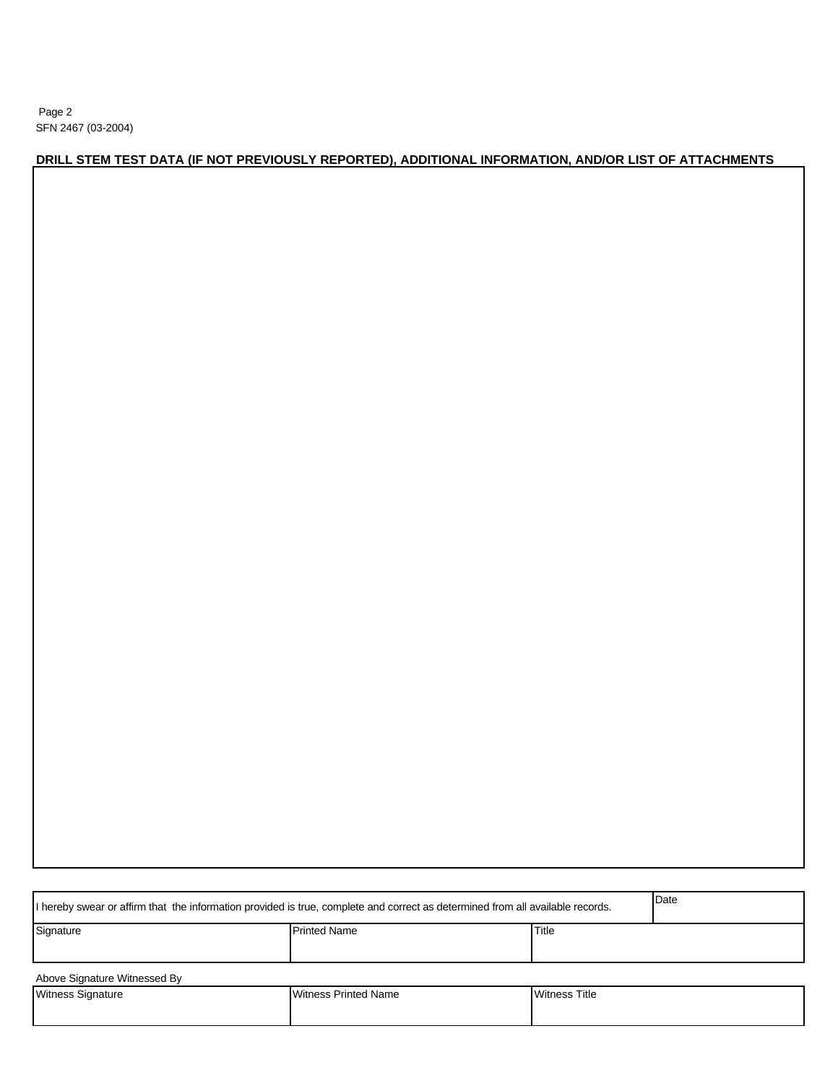Page 2 SFN 2467 (03-2004)

## **DRILL STEM TEST DATA (IF NOT PREVIOUSLY REPORTED), ADDITIONAL INFORMATION, AND/OR LIST OF ATTACHMENTS**

| If hereby swear or affirm that the information provided is true, complete and correct as determined from all available records. | Date                        |                      |  |  |  |  |
|---------------------------------------------------------------------------------------------------------------------------------|-----------------------------|----------------------|--|--|--|--|
| Signature<br><b>Printed Name</b>                                                                                                |                             |                      |  |  |  |  |
|                                                                                                                                 |                             |                      |  |  |  |  |
| Above Signature Witnessed By                                                                                                    |                             |                      |  |  |  |  |
| <b>Witness Signature</b>                                                                                                        | <b>Witness Printed Name</b> | <b>Witness Title</b> |  |  |  |  |
|                                                                                                                                 |                             |                      |  |  |  |  |